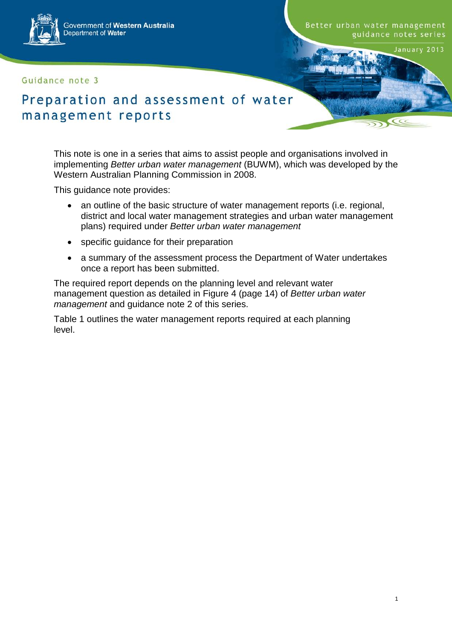Government of Western Australia Department of Water

Guidance note 3

Better urban water management guidance notes series

D

January 2013

# Preparation and assessment of water management reports

This note is one in a series that aims to assist people and organisations involved in implementing *Better urban water management* (BUWM), which was developed by the Western Australian Planning Commission in 2008.

This guidance note provides:

- an outline of the basic structure of water management reports (i.e. regional, district and local water management strategies and urban water management plans) required under *Better urban water management*
- specific guidance for their preparation
- a summary of the assessment process the Department of Water undertakes once a report has been submitted.

The required report depends on the planning level and relevant water management question as detailed in Figure 4 (page 14) of *Better urban water management* and guidance note 2 of this series.

Table 1 outlines the water management reports required at each planning level.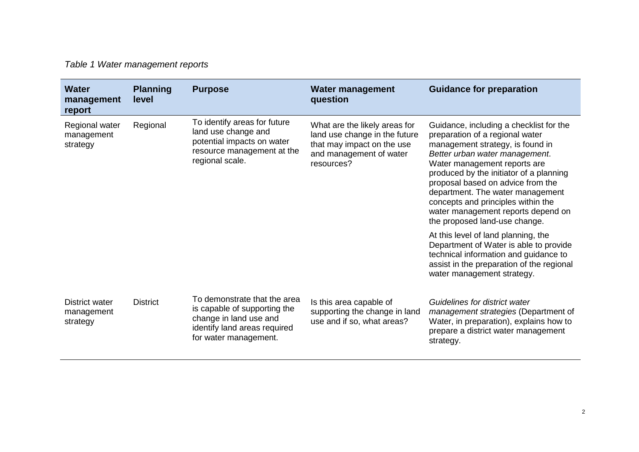| Table 1 Water management reports |  |
|----------------------------------|--|
|----------------------------------|--|

| <b>Water</b><br>management<br>report            | <b>Planning</b><br>level | <b>Purpose</b>                                                                                                                                  | <b>Water management</b><br>question                                                                                                   | <b>Guidance for preparation</b>                                                                                                                                                                                                                                                                                                                                                                                   |
|-------------------------------------------------|--------------------------|-------------------------------------------------------------------------------------------------------------------------------------------------|---------------------------------------------------------------------------------------------------------------------------------------|-------------------------------------------------------------------------------------------------------------------------------------------------------------------------------------------------------------------------------------------------------------------------------------------------------------------------------------------------------------------------------------------------------------------|
| Regional water<br>management<br>strategy        | Regional                 | To identify areas for future<br>land use change and<br>potential impacts on water<br>resource management at the<br>regional scale.              | What are the likely areas for<br>land use change in the future<br>that may impact on the use<br>and management of water<br>resources? | Guidance, including a checklist for the<br>preparation of a regional water<br>management strategy, is found in<br>Better urban water management.<br>Water management reports are<br>produced by the initiator of a planning<br>proposal based on advice from the<br>department. The water management<br>concepts and principles within the<br>water management reports depend on<br>the proposed land-use change. |
|                                                 |                          |                                                                                                                                                 |                                                                                                                                       | At this level of land planning, the<br>Department of Water is able to provide<br>technical information and guidance to<br>assist in the preparation of the regional<br>water management strategy.                                                                                                                                                                                                                 |
| <b>District water</b><br>management<br>strategy | <b>District</b>          | To demonstrate that the area<br>is capable of supporting the<br>change in land use and<br>identify land areas required<br>for water management. | Is this area capable of<br>supporting the change in land<br>use and if so, what areas?                                                | Guidelines for district water<br>management strategies (Department of<br>Water, in preparation), explains how to<br>prepare a district water management<br>strategy.                                                                                                                                                                                                                                              |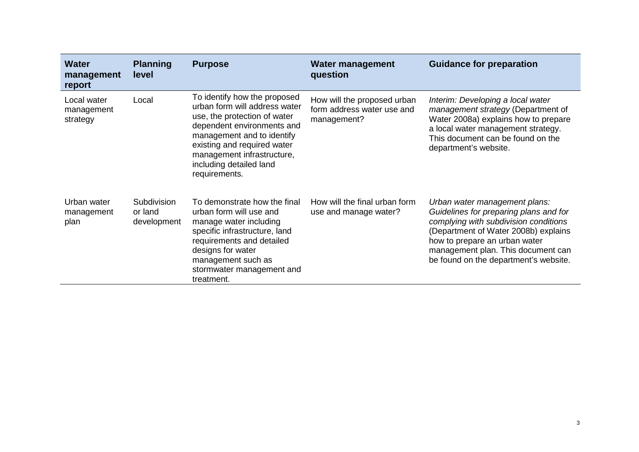| <b>Water</b><br>management<br>report  | <b>Planning</b><br>level              | <b>Purpose</b>                                                                                                                                                                                                                                                     | <b>Water management</b><br>question                                      | <b>Guidance for preparation</b>                                                                                                                                                                                                                                          |
|---------------------------------------|---------------------------------------|--------------------------------------------------------------------------------------------------------------------------------------------------------------------------------------------------------------------------------------------------------------------|--------------------------------------------------------------------------|--------------------------------------------------------------------------------------------------------------------------------------------------------------------------------------------------------------------------------------------------------------------------|
| Local water<br>management<br>strategy | Local                                 | To identify how the proposed<br>urban form will address water<br>use, the protection of water<br>dependent environments and<br>management and to identify<br>existing and required water<br>management infrastructure,<br>including detailed land<br>requirements. | How will the proposed urban<br>form address water use and<br>management? | Interim: Developing a local water<br>management strategy (Department of<br>Water 2008a) explains how to prepare<br>a local water management strategy.<br>This document can be found on the<br>department's website.                                                      |
| Urban water<br>management<br>plan     | Subdivision<br>or land<br>development | To demonstrate how the final<br>urban form will use and<br>manage water including<br>specific infrastructure, land<br>requirements and detailed<br>designs for water<br>management such as<br>stormwater management and<br>treatment.                              | How will the final urban form<br>use and manage water?                   | Urban water management plans:<br>Guidelines for preparing plans and for<br>complying with subdivision conditions<br>(Department of Water 2008b) explains<br>how to prepare an urban water<br>management plan. This document can<br>be found on the department's website. |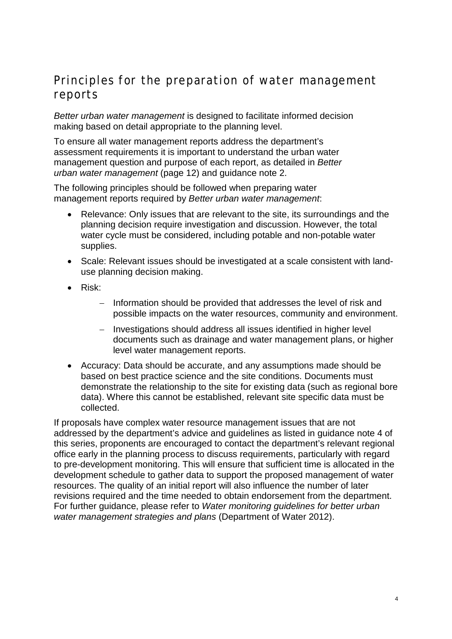## Principles for the preparation of water management reports

*Better urban water management* is designed to facilitate informed decision making based on detail appropriate to the planning level.

To ensure all water management reports address the department's assessment requirements it is important to understand the urban water management question and purpose of each report, as detailed in *Better urban water management* (page 12) and guidance note 2.

The following principles should be followed when preparing water management reports required by *Better urban water management*:

- Relevance: Only issues that are relevant to the site, its surroundings and the planning decision require investigation and discussion. However, the total water cycle must be considered, including potable and non-potable water supplies.
- Scale: Relevant issues should be investigated at a scale consistent with landuse planning decision making.
- Risk:
	- − Information should be provided that addresses the level of risk and possible impacts on the water resources, community and environment.
	- − Investigations should address all issues identified in higher level documents such as drainage and water management plans, or higher level water management reports.
- Accuracy: Data should be accurate, and any assumptions made should be based on best practice science and the site conditions. Documents must demonstrate the relationship to the site for existing data (such as regional bore data). Where this cannot be established, relevant site specific data must be collected.

If proposals have complex water resource management issues that are not addressed by the department's advice and guidelines as listed in guidance note 4 of this series, proponents are encouraged to contact the department's relevant regional office early in the planning process to discuss requirements, particularly with regard to pre-development monitoring. This will ensure that sufficient time is allocated in the development schedule to gather data to support the proposed management of water resources. The quality of an initial report will also influence the number of later revisions required and the time needed to obtain endorsement from the department. For further guidance, please refer to *Water monitoring guidelines for better urban water management strategies and plans* (Department of Water 2012).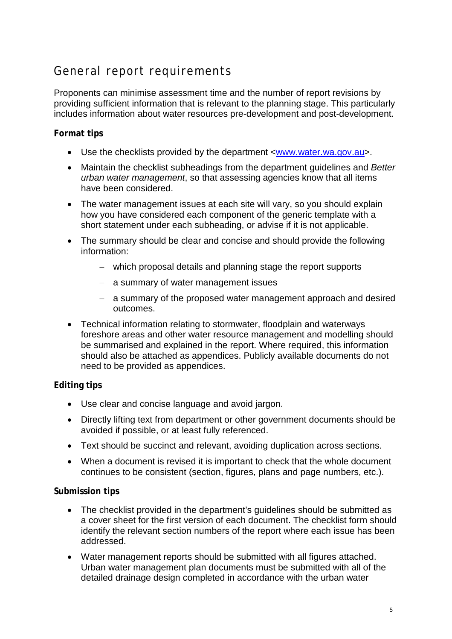# General report requirements

Proponents can minimise assessment time and the number of report revisions by providing sufficient information that is relevant to the planning stage. This particularly includes information about water resources pre-development and post-development.

## **Format tips**

- Use the checklists provided by the department [<www.water.wa.gov.au>](http://www.water.wa.gov.au/).
- Maintain the checklist subheadings from the department guidelines and *Better urban water management*, so that assessing agencies know that all items have been considered.
- The water management issues at each site will vary, so you should explain how you have considered each component of the generic template with a short statement under each subheading, or advise if it is not applicable.
- The summary should be clear and concise and should provide the following information:
	- − which proposal details and planning stage the report supports
	- − a summary of water management issues
	- − a summary of the proposed water management approach and desired outcomes.
- Technical information relating to stormwater, floodplain and waterways foreshore areas and other water resource management and modelling should be summarised and explained in the report. Where required, this information should also be attached as appendices. Publicly available documents do not need to be provided as appendices.

## **Editing tips**

- Use clear and concise language and avoid jargon.
- Directly lifting text from department or other government documents should be avoided if possible, or at least fully referenced.
- Text should be succinct and relevant, avoiding duplication across sections.
- When a document is revised it is important to check that the whole document continues to be consistent (section, figures, plans and page numbers, etc.).

## **Submission tips**

- The checklist provided in the department's guidelines should be submitted as a cover sheet for the first version of each document. The checklist form should identify the relevant section numbers of the report where each issue has been addressed.
- Water management reports should be submitted with all figures attached. Urban water management plan documents must be submitted with all of the detailed drainage design completed in accordance with the urban water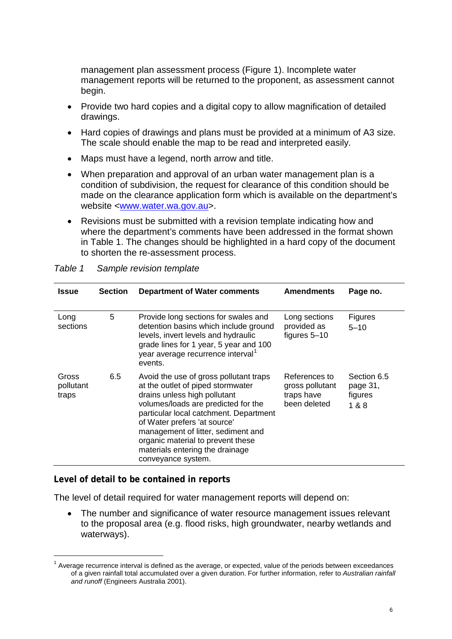management plan assessment process (Figure 1). Incomplete water management reports will be returned to the proponent, as assessment cannot begin.

- Provide two hard copies and a digital copy to allow magnification of detailed drawings.
- Hard copies of drawings and plans must be provided at a minimum of A3 size. The scale should enable the map to be read and interpreted easily.
- Maps must have a legend, north arrow and title.
- When preparation and approval of an urban water management plan is a condition of subdivision, the request for clearance of this condition should be made on the clearance application form which is available on the department's website [<www.water.wa.gov.au>](http://www.water.wa.gov.au/).
- Revisions must be submitted with a revision template indicating how and where the department's comments have been addressed in the format shown in Table 1. The changes should be highlighted in a hard copy of the document to shorten the re-assessment process.

| <b>Issue</b>                | <b>Section</b> | <b>Department of Water comments</b>                                                                                                                                                                                                                                                                                                                              | <b>Amendments</b>                                              | Page no.                                    |
|-----------------------------|----------------|------------------------------------------------------------------------------------------------------------------------------------------------------------------------------------------------------------------------------------------------------------------------------------------------------------------------------------------------------------------|----------------------------------------------------------------|---------------------------------------------|
| Long<br>sections            | 5              | Provide long sections for swales and<br>detention basins which include ground<br>levels, invert levels and hydraulic<br>grade lines for 1 year, 5 year and 100<br>year average recurrence interval <sup>1</sup><br>events.                                                                                                                                       | Long sections<br>provided as<br>figures 5-10                   | Figures<br>$5 - 10$                         |
| Gross<br>pollutant<br>traps | 6.5            | Avoid the use of gross pollutant traps<br>at the outlet of piped stormwater<br>drains unless high pollutant<br>volumes/loads are predicted for the<br>particular local catchment. Department<br>of Water prefers 'at source'<br>management of litter, sediment and<br>organic material to prevent these<br>materials entering the drainage<br>conveyance system. | References to<br>gross pollutant<br>traps have<br>been deleted | Section 6.5<br>page 31,<br>figures<br>1 & 8 |

#### *Table 1 Sample revision template*

## **Level of detail to be contained in reports**

The level of detail required for water management reports will depend on:

• The number and significance of water resource management issues relevant to the proposal area (e.g. flood risks, high groundwater, nearby wetlands and waterways).

<span id="page-5-0"></span> $1$  Average recurrence interval is defined as the average, or expected, value of the periods between exceedances of a given rainfall total accumulated over a given duration. For further information, refer to *Australian rainfall and runoff* (Engineers Australia 2001).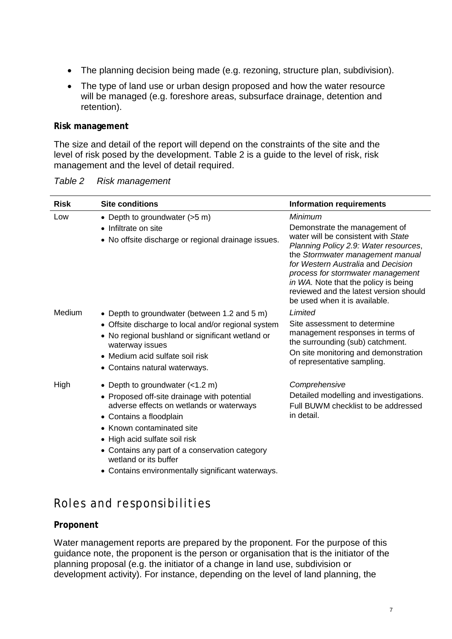- The planning decision being made (e.g. rezoning, structure plan, subdivision).
- The type of land use or urban design proposed and how the water resource will be managed (e.g. foreshore areas, subsurface drainage, detention and retention).

#### **Risk management**

The size and detail of the report will depend on the constraints of the site and the level of risk posed by the development. Table 2 is a guide to the level of risk, risk management and the level of detail required.

| <b>Risk</b> | <b>Site conditions</b>                                                                                                                                        | <b>Information requirements</b>                                                                                                                                                                                                                                         |
|-------------|---------------------------------------------------------------------------------------------------------------------------------------------------------------|-------------------------------------------------------------------------------------------------------------------------------------------------------------------------------------------------------------------------------------------------------------------------|
| Low         | • Depth to groundwater (>5 m)<br>• Infiltrate on site                                                                                                         | Minimum<br>Demonstrate the management of<br>water will be consistent with State                                                                                                                                                                                         |
|             | • No offsite discharge or regional drainage issues.                                                                                                           | Planning Policy 2.9: Water resources,<br>the Stormwater management manual<br>for Western Australia and Decision<br>process for stormwater management<br>in WA. Note that the policy is being<br>reviewed and the latest version should<br>be used when it is available. |
| Medium      | • Depth to groundwater (between 1.2 and 5 m)                                                                                                                  | Limited                                                                                                                                                                                                                                                                 |
|             | • Offsite discharge to local and/or regional system<br>• No regional bushland or significant wetland or<br>waterway issues<br>• Medium acid sulfate soil risk | Site assessment to determine<br>management responses in terms of<br>the surrounding (sub) catchment.<br>On site monitoring and demonstration                                                                                                                            |
|             | • Contains natural waterways.                                                                                                                                 | of representative sampling.                                                                                                                                                                                                                                             |
| High        | • Depth to groundwater $(<1.2$ m)                                                                                                                             | Comprehensive                                                                                                                                                                                                                                                           |
|             | • Proposed off-site drainage with potential<br>adverse effects on wetlands or waterways<br>• Contains a floodplain                                            | Detailed modelling and investigations.<br>Full BUWM checklist to be addressed<br>in detail.                                                                                                                                                                             |
|             | • Known contaminated site                                                                                                                                     |                                                                                                                                                                                                                                                                         |
|             | • High acid sulfate soil risk                                                                                                                                 |                                                                                                                                                                                                                                                                         |
|             | • Contains any part of a conservation category<br>wetland or its buffer                                                                                       |                                                                                                                                                                                                                                                                         |
|             | • Contains environmentally significant waterways.                                                                                                             |                                                                                                                                                                                                                                                                         |

| Table 2 | <b>Risk management</b> |
|---------|------------------------|
|---------|------------------------|

# Roles and responsibilities

## **Proponent**

Water management reports are prepared by the proponent. For the purpose of this guidance note, the proponent is the person or organisation that is the initiator of the planning proposal (e.g. the initiator of a change in land use, subdivision or development activity). For instance, depending on the level of land planning, the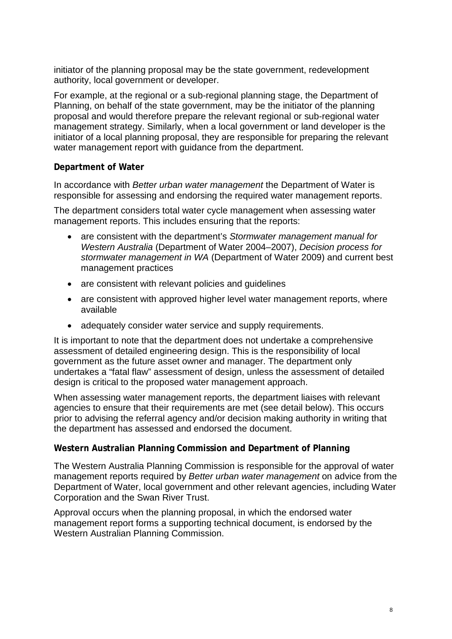initiator of the planning proposal may be the state government, redevelopment authority, local government or developer.

For example, at the regional or a sub-regional planning stage, the Department of Planning, on behalf of the state government, may be the initiator of the planning proposal and would therefore prepare the relevant regional or sub-regional water management strategy. Similarly, when a local government or land developer is the initiator of a local planning proposal, they are responsible for preparing the relevant water management report with guidance from the department.

## **Department of Water**

In accordance with *Better urban water management* the Department of Water is responsible for assessing and endorsing the required water management reports.

The department considers total water cycle management when assessing water management reports. This includes ensuring that the reports:

- are consistent with the department's *Stormwater management manual for Western Australia* (Department of Water 2004–2007), *Decision process for stormwater management in WA* (Department of Water 2009) and current best management practices
- are consistent with relevant policies and guidelines
- are consistent with approved higher level water management reports, where available
- adequately consider water service and supply requirements.

It is important to note that the department does not undertake a comprehensive assessment of detailed engineering design. This is the responsibility of local government as the future asset owner and manager. The department only undertakes a "fatal flaw" assessment of design, unless the assessment of detailed design is critical to the proposed water management approach.

When assessing water management reports, the department liaises with relevant agencies to ensure that their requirements are met (see detail below). This occurs prior to advising the referral agency and/or decision making authority in writing that the department has assessed and endorsed the document.

## **Western Australian Planning Commission and Department of Planning**

The Western Australia Planning Commission is responsible for the approval of water management reports required by *Better urban water management* on advice from the Department of Water, local government and other relevant agencies, including Water Corporation and the Swan River Trust.

Approval occurs when the planning proposal, in which the endorsed water management report forms a supporting technical document, is endorsed by the Western Australian Planning Commission.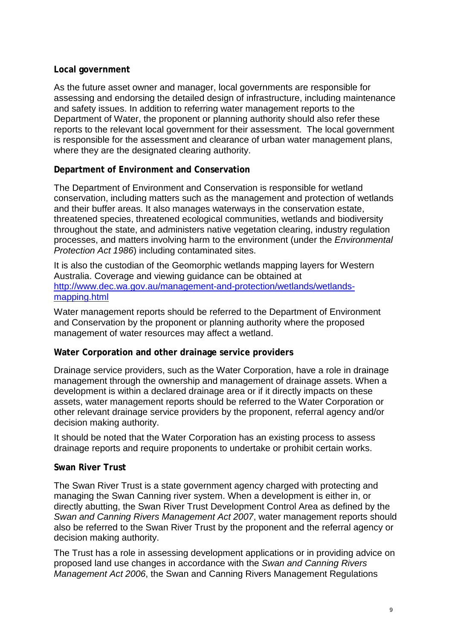## **Local government**

As the future asset owner and manager, local governments are responsible for assessing and endorsing the detailed design of infrastructure, including maintenance and safety issues. In addition to referring water management reports to the Department of Water, the proponent or planning authority should also refer these reports to the relevant local government for their assessment. The local government is responsible for the assessment and clearance of urban water management plans, where they are the designated clearing authority.

## **Department of Environment and Conservation**

The Department of Environment and Conservation is responsible for wetland conservation, including matters such as the management and protection of wetlands and their buffer areas. It also manages waterways in the conservation estate, threatened species, threatened ecological communities, wetlands and biodiversity throughout the state, and administers native vegetation clearing, industry regulation processes, and matters involving harm to the environment (under the *Environmental Protection Act 1986*) including contaminated sites.

It is also the custodian of the Geomorphic wetlands mapping layers for Western Australia. Coverage and viewing guidance can be obtained at [http://www.dec.wa.gov.au/management-and-protection/wetlands/wetlands](http://www.dec.wa.gov.au/management-and-protection/wetlands/wetlands-mapping.html)[mapping.html](http://www.dec.wa.gov.au/management-and-protection/wetlands/wetlands-mapping.html)

Water management reports should be referred to the Department of Environment and Conservation by the proponent or planning authority where the proposed management of water resources may affect a wetland.

## **Water Corporation and other drainage service providers**

Drainage service providers, such as the Water Corporation, have a role in drainage management through the ownership and management of drainage assets. When a development is within a declared drainage area or if it directly impacts on these assets, water management reports should be referred to the Water Corporation or other relevant drainage service providers by the proponent, referral agency and/or decision making authority.

It should be noted that the Water Corporation has an existing process to assess drainage reports and require proponents to undertake or prohibit certain works.

## **Swan River Trust**

The Swan River Trust is a state government agency charged with protecting and managing the Swan Canning river system. When a development is either in, or directly abutting, the Swan River Trust Development Control Area as defined by the *Swan and Canning Rivers Management Act 2007*, water management reports should also be referred to the Swan River Trust by the proponent and the referral agency or decision making authority.

The Trust has a role in assessing development applications or in providing advice on proposed land use changes in accordance with the *Swan and Canning Rivers Management Act 2006*, the Swan and Canning Rivers Management Regulations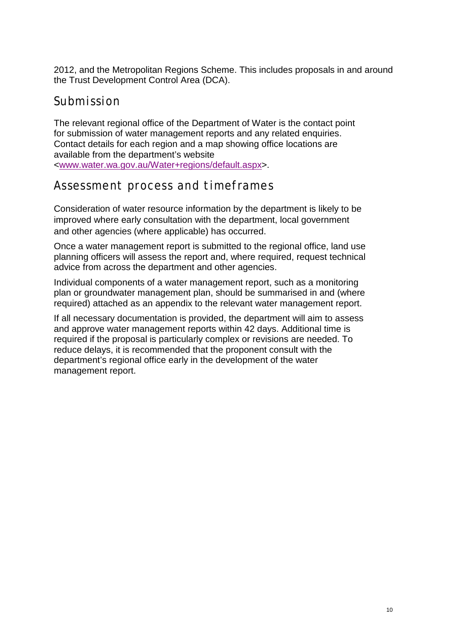2012, and the Metropolitan Regions Scheme. This includes proposals in and around the Trust Development Control Area (DCA).

## Submission

The relevant regional office of the Department of Water is the contact point for submission of water management reports and any related enquiries. Contact details for each region and a map showing office locations are available from the department's website [<www.water.wa.gov.au/Water+regions/default.aspx>](http://www.water.wa.gov.au/Water+regions/default.aspx).

## Assessment process and timeframes

Consideration of water resource information by the department is likely to be improved where early consultation with the department, local government and other agencies (where applicable) has occurred.

Once a water management report is submitted to the regional office, land use planning officers will assess the report and, where required, request technical advice from across the department and other agencies.

Individual components of a water management report, such as a monitoring plan or groundwater management plan, should be summarised in and (where required) attached as an appendix to the relevant water management report.

If all necessary documentation is provided, the department will aim to assess and approve water management reports within 42 days. Additional time is required if the proposal is particularly complex or revisions are needed. To reduce delays, it is recommended that the proponent consult with the department's regional office early in the development of the water management report.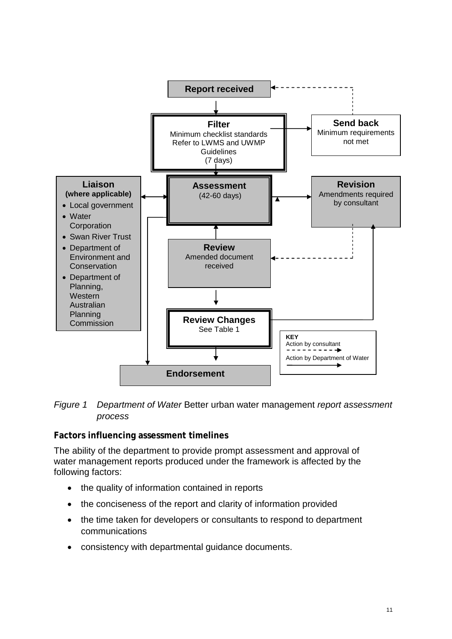

#### *Figure 1 Department of Water* Better urban water management *report assessment process*

## **Factors influencing assessment timelines**

The ability of the department to provide prompt assessment and approval of water management reports produced under the framework is affected by the following factors:

- the quality of information contained in reports
- the conciseness of the report and clarity of information provided
- the time taken for developers or consultants to respond to department communications
- consistency with departmental guidance documents.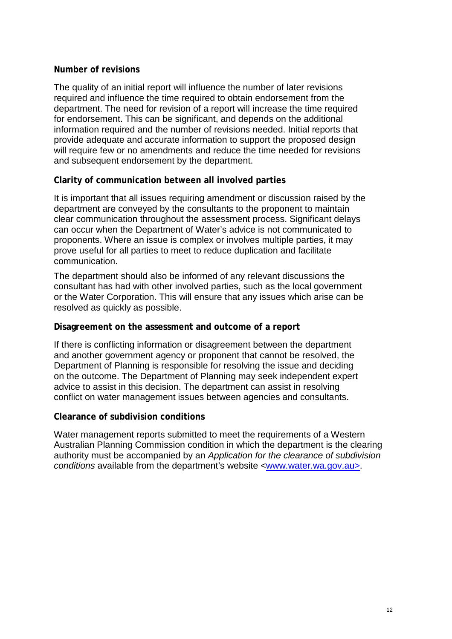## **Number of revisions**

The quality of an initial report will influence the number of later revisions required and influence the time required to obtain endorsement from the department. The need for revision of a report will increase the time required for endorsement. This can be significant, and depends on the additional information required and the number of revisions needed. Initial reports that provide adequate and accurate information to support the proposed design will require few or no amendments and reduce the time needed for revisions and subsequent endorsement by the department.

#### **Clarity of communication between all involved parties**

It is important that all issues requiring amendment or discussion raised by the department are conveyed by the consultants to the proponent to maintain clear communication throughout the assessment process. Significant delays can occur when the Department of Water's advice is not communicated to proponents. Where an issue is complex or involves multiple parties, it may prove useful for all parties to meet to reduce duplication and facilitate communication.

The department should also be informed of any relevant discussions the consultant has had with other involved parties, such as the local government or the Water Corporation. This will ensure that any issues which arise can be resolved as quickly as possible.

#### **Disagreement on the assessment and outcome of a report**

If there is conflicting information or disagreement between the department and another government agency or proponent that cannot be resolved, the Department of Planning is responsible for resolving the issue and deciding on the outcome. The Department of Planning may seek independent expert advice to assist in this decision. The department can assist in resolving conflict on water management issues between agencies and consultants.

#### **Clearance of subdivision conditions**

Water management reports submitted to meet the requirements of a Western Australian Planning Commission condition in which the department is the clearing authority must be accompanied by an *Application for the clearance of subdivision conditions* available from the department's website [<www.water.wa.gov.au>](http://www.water.wa.gov.au/).